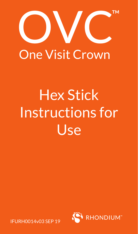

## **One Visit Crown**

# Hex Stick Instructions for Use



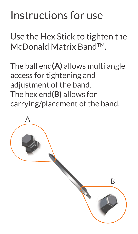### Instructions for use

Use the Hex Stick to tighten the McDonald Matrix BandTM.

The ball end**(A)** allows multi angle access for tightening and adiustment of the band. The hex end**(B)** allows for carrying/placement of the band.

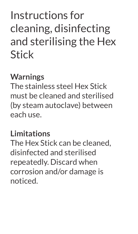## Instructions for cleaning, disinfecting and sterilising the Hex Stick

#### **Warnings**

The stainless steel Hex Stick must be cleaned and sterilised (by steam autoclave) between each use.

#### **Limitations**

The Hex Stick can be cleaned, disinfected and sterilised repeatedly. Discard when corrosion and/or damage is noticed.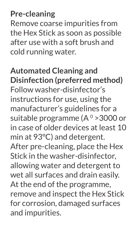**Pre-cleaning**

Remove coarse impurities from the Hex Stick as soon as possible after use with a soft brush and cold running water.

**Automated Cleaning and Disinfection (preferred method)** Follow washer-disinfector's instructions for use, using the manufacturer's guidelines for a suitable programme (A º > 3000 or in case of older devices at least 10 min at 93°C) and detergent. After pre-cleaning, place the Hex Stick in the washer-disinfector, allowing water and detergent to wet all surfaces and drain easily. At the end of the programme, remove and inspect the Hex Stick for corrosion, damaged surfaces and impurities.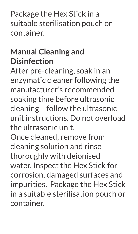Package the Hex Stick in a suitable sterilisation pouch or container.

#### **Manual Cleaning and Disinfection**

After pre-cleaning, soak in an enzymatic cleaner following the manufacturer's recommended soaking time before ultrasonic cleaning – follow the ultrasonic unit instructions. Do not overload the ultrasonic unit.

Once cleaned, remove from cleaning solution and rinse thoroughly with deionised water. Inspect the Hex Stick for corrosion, damaged surfaces and impurities. Package the Hex Stick in a suitable sterilisation pouch or container.